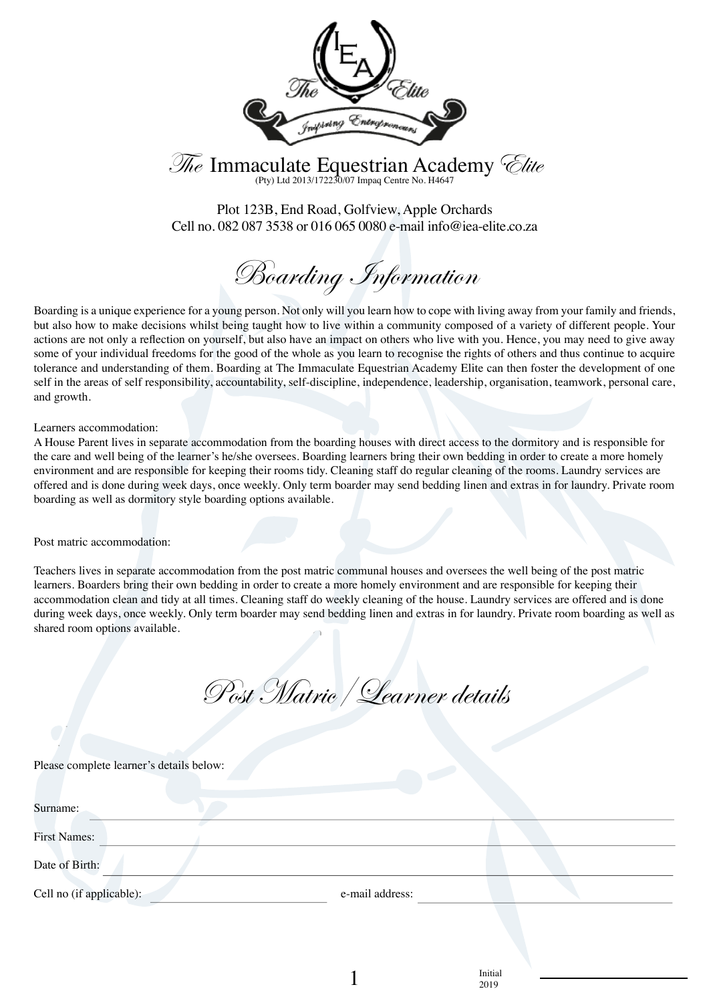

The Immaculate Equestrian Academy *Clite* 

Plot 123B, End Road, Golfview, Apple Orchards Cell no. 082 087 3538 or 016 065 0080 e-mail info@iea-elite.co.za

Boarding Information

Boarding is a unique experience for a young person. Not only will you learn how to cope with living away from your family and friends, but also how to make decisions whilst being taught how to live within a community composed of a variety of different people. Your actions are not only a reflection on yourself, but also have an impact on others who live with you. Hence, you may need to give away some of your individual freedoms for the good of the whole as you learn to recognise the rights of others and thus continue to acquire tolerance and understanding of them. Boarding at The Immaculate Equestrian Academy Elite can then foster the development of one self in the areas of self responsibility, accountability, self-discipline, independence, leadership, organisation, teamwork, personal care, and growth.

Learners accommodation:

A House Parent lives in separate accommodation from the boarding houses with direct access to the dormitory and is responsible for the care and well being of the learner's he/she oversees. Boarding learners bring their own bedding in order to create a more homely environment and are responsible for keeping their rooms tidy. Cleaning staff do regular cleaning of the rooms. Laundry services are offered and is done during week days, once weekly. Only term boarder may send bedding linen and extras in for laundry. Private room boarding as well as dormitory style boarding options available.

Post matric accommodation:

Teachers lives in separate accommodation from the post matric communal houses and oversees the well being of the post matric learners. Boarders bring their own bedding in order to create a more homely environment and are responsible for keeping their accommodation clean and tidy at all times. Cleaning staff do weekly cleaning of the house. Laundry services are offered and is done during week days, once weekly. Only term boarder may send bedding linen and extras in for laundry. Private room boarding as well as shared room options available.

Post Matric/Learner details

Please complete learner's details below:

| Surname:                 |                 |  |
|--------------------------|-----------------|--|
| <b>First Names:</b>      |                 |  |
| Date of Birth:           |                 |  |
| Cell no (if applicable): | e-mail address: |  |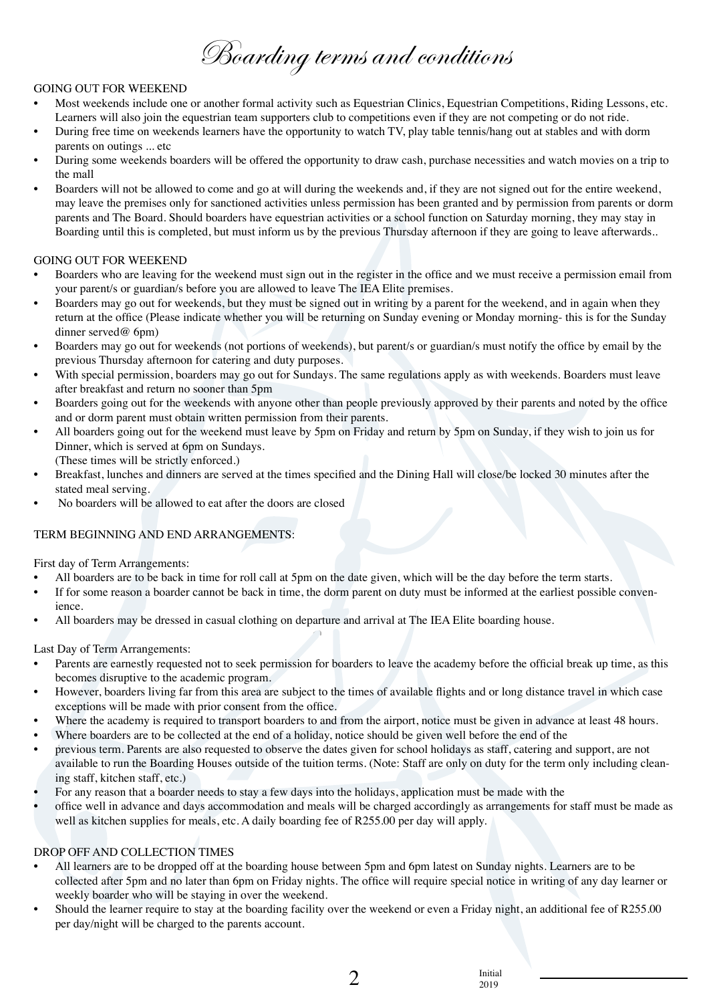Boarding terms and conditions

#### GOING OUT FOR WEEKEND

- Most weekends include one or another formal activity such as Equestrian Clinics, Equestrian Competitions, Riding Lessons, etc. Learners will also join the equestrian team supporters club to competitions even if they are not competing or do not ride.
- During free time on weekends learners have the opportunity to watch TV, play table tennis/hang out at stables and with dorm parents on outings ... etc
- During some weekends boarders will be offered the opportunity to draw cash, purchase necessities and watch movies on a trip to the mall
- Boarders will not be allowed to come and go at will during the weekends and, if they are not signed out for the entire weekend, may leave the premises only for sanctioned activities unless permission has been granted and by permission from parents or dorm parents and The Board. Should boarders have equestrian activities or a school function on Saturday morning, they may stay in Boarding until this is completed, but must inform us by the previous Thursday afternoon if they are going to leave afterwards..

# GOING OUT FOR WEEKEND

- Boarders who are leaving for the weekend must sign out in the register in the office and we must receive a permission email from your parent/s or guardian/s before you are allowed to leave The IEA Elite premises.
- Boarders may go out for weekends, but they must be signed out in writing by a parent for the weekend, and in again when they return at the office (Please indicate whether you will be returning on Sunday evening or Monday morning- this is for the Sunday dinner served@ 6pm)
- Boarders may go out for weekends (not portions of weekends), but parent/s or guardian/s must notify the office by email by the previous Thursday afternoon for catering and duty purposes.
- With special permission, boarders may go out for Sundays. The same regulations apply as with weekends. Boarders must leave after breakfast and return no sooner than 5pm
- Boarders going out for the weekends with anyone other than people previously approved by their parents and noted by the office and or dorm parent must obtain written permission from their parents.
- All boarders going out for the weekend must leave by 5pm on Friday and return by 5pm on Sunday, if they wish to join us for Dinner, which is served at 6pm on Sundays.
- (These times will be strictly enforced.)
- Breakfast, lunches and dinners are served at the times specified and the Dining Hall will close/be locked 30 minutes after the stated meal serving.
- No boarders will be allowed to eat after the doors are closed

# TERM BEGINNING AND END ARRANGEMENTS:

First day of Term Arrangements:

- All boarders are to be back in time for roll call at 5pm on the date given, which will be the day before the term starts.
- If for some reason a boarder cannot be back in time, the dorm parent on duty must be informed at the earliest possible convenience.
- All boarders may be dressed in casual clothing on departure and arrival at The IEA Elite boarding house.

Last Day of Term Arrangements:

- Parents are earnestly requested not to seek permission for boarders to leave the academy before the official break up time, as this becomes disruptive to the academic program.
- However, boarders living far from this area are subject to the times of available flights and or long distance travel in which case exceptions will be made with prior consent from the office.
- Where the academy is required to transport boarders to and from the airport, notice must be given in advance at least 48 hours.
- Where boarders are to be collected at the end of a holiday, notice should be given well before the end of the
- previous term. Parents are also requested to observe the dates given for school holidays as staff, catering and support, are not available to run the Boarding Houses outside of the tuition terms. (Note: Staff are only on duty for the term only including cleaning staff, kitchen staff, etc.)
- For any reason that a boarder needs to stay a few days into the holidays, application must be made with the
- office well in advance and days accommodation and meals will be charged accordingly as arrangements for staff must be made as well as kitchen supplies for meals, etc. A daily boarding fee of R255.00 per day will apply.

# DROP OFF AND COLLECTION TIMES

- All learners are to be dropped off at the boarding house between 5pm and 6pm latest on Sunday nights. Learners are to be collected after 5pm and no later than 6pm on Friday nights. The office will require special notice in writing of any day learner or weekly boarder who will be staying in over the weekend.
- Should the learner require to stay at the boarding facility over the weekend or even a Friday night, an additional fee of R255.00 per day/night will be charged to the parents account.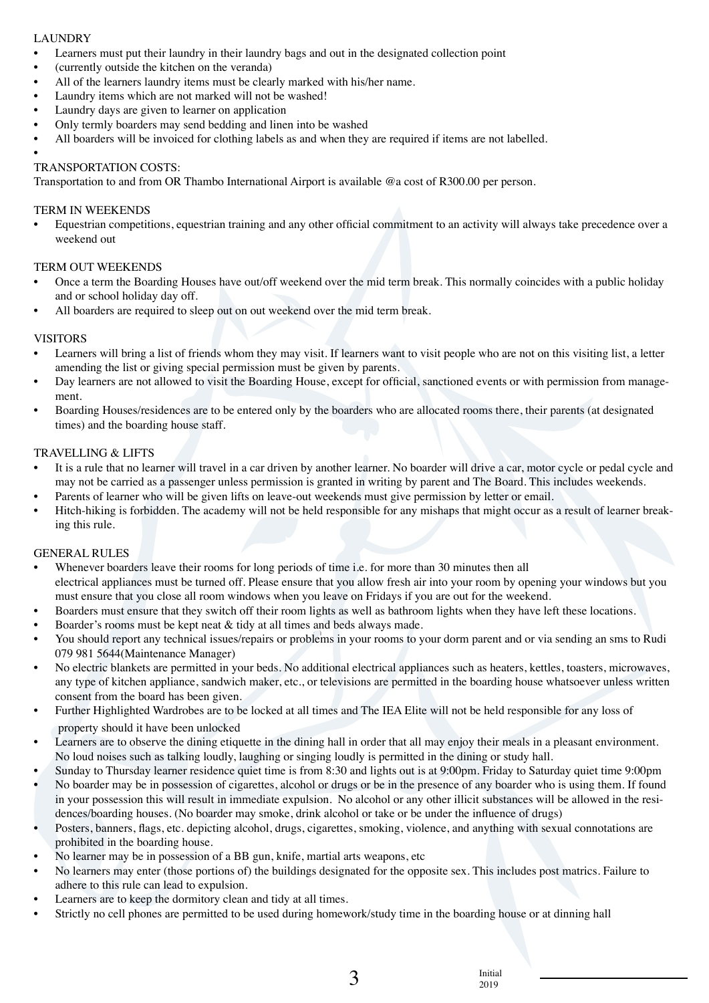# LAUNDRY

- Learners must put their laundry in their laundry bags and out in the designated collection point
- (currently outside the kitchen on the veranda)
- All of the learners laundry items must be clearly marked with his/her name.
- Laundry items which are not marked will not be washed!
- Laundry days are given to learner on application
- Only termly boarders may send bedding and linen into be washed
- All boarders will be invoiced for clothing labels as and when they are required if items are not labelled.

•

#### TRANSPORTATION COSTS:

Transportation to and from OR Thambo International Airport is available @a cost of R300.00 per person.

#### TERM IN WEEKENDS

• Equestrian competitions, equestrian training and any other official commitment to an activity will always take precedence over a weekend out

#### TERM OUT WEEKENDS

- Once a term the Boarding Houses have out/off weekend over the mid term break. This normally coincides with a public holiday and or school holiday day off.
- All boarders are required to sleep out on out weekend over the mid term break.

## VISITORS

- Learners will bring a list of friends whom they may visit. If learners want to visit people who are not on this visiting list, a letter amending the list or giving special permission must be given by parents.
- Day learners are not allowed to visit the Boarding House, except for official, sanctioned events or with permission from management.
- Boarding Houses/residences are to be entered only by the boarders who are allocated rooms there, their parents (at designated times) and the boarding house staff.

#### TRAVELLING & LIFTS

- It is a rule that no learner will travel in a car driven by another learner. No boarder will drive a car, motor cycle or pedal cycle and may not be carried as a passenger unless permission is granted in writing by parent and The Board. This includes weekends.
- Parents of learner who will be given lifts on leave-out weekends must give permission by letter or email.
- Hitch-hiking is forbidden. The academy will not be held responsible for any mishaps that might occur as a result of learner breaking this rule.

#### GENERAL RULES

- Whenever boarders leave their rooms for long periods of time i.e. for more than 30 minutes then all electrical appliances must be turned off. Please ensure that you allow fresh air into your room by opening your windows but you must ensure that you close all room windows when you leave on Fridays if you are out for the weekend.
- Boarders must ensure that they switch off their room lights as well as bathroom lights when they have left these locations.
- Boarder's rooms must be kept neat & tidy at all times and beds always made.
- You should report any technical issues/repairs or problems in your rooms to your dorm parent and or via sending an sms to Rudi 079 981 5644(Maintenance Manager)
- No electric blankets are permitted in your beds. No additional electrical appliances such as heaters, kettles, toasters, microwaves, any type of kitchen appliance, sandwich maker, etc., or televisions are permitted in the boarding house whatsoever unless written consent from the board has been given.
- Further Highlighted Wardrobes are to be locked at all times and The IEA Elite will not be held responsible for any loss of property should it have been unlocked
- Learners are to observe the dining etiquette in the dining hall in order that all may enjoy their meals in a pleasant environment. No loud noises such as talking loudly, laughing or singing loudly is permitted in the dining or study hall.
- Sunday to Thursday learner residence quiet time is from 8:30 and lights out is at 9:00pm. Friday to Saturday quiet time 9:00pm
- No boarder may be in possession of cigarettes, alcohol or drugs or be in the presence of any boarder who is using them. If found in your possession this will result in immediate expulsion. No alcohol or any other illicit substances will be allowed in the residences/boarding houses. (No boarder may smoke, drink alcohol or take or be under the influence of drugs)
- Posters, banners, flags, etc. depicting alcohol, drugs, cigarettes, smoking, violence, and anything with sexual connotations are prohibited in the boarding house.
- No learner may be in possession of a BB gun, knife, martial arts weapons, etc.
- No learners may enter (those portions of) the buildings designated for the opposite sex. This includes post matrics. Failure to adhere to this rule can lead to expulsion.
- Learners are to keep the dormitory clean and tidy at all times.
- Strictly no cell phones are permitted to be used during homework/study time in the boarding house or at dinning hall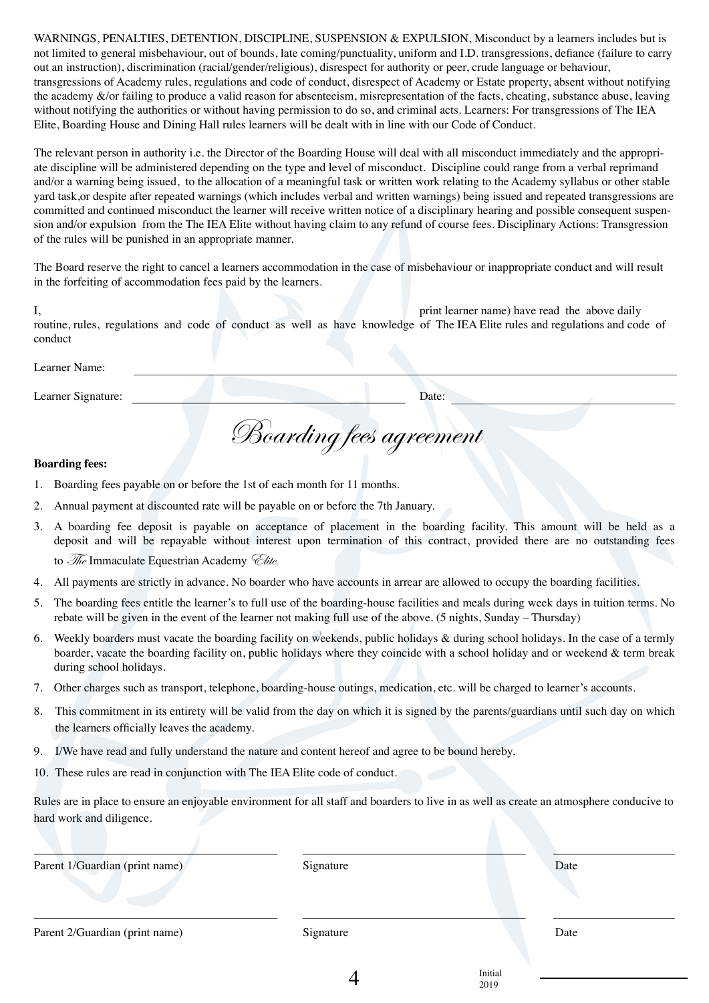WARNINGS, PENALTIES, DETENTION, DISCIPLINE, SUSPENSION & EXPULSION, Misconduct by a learners includes but is not limited to general misbehaviour, out of bounds, late coming/punctuality, uniform and I.D. transgressions, defiance (failure to carry out an instruction), discrimination (racial/gender/religious), disrespect for authority or peer, crude language or behaviour, transgressions of Academy rules, regulations and code of conduct, disrespect of Academy or Estate property, absent without notifying the academy &/or failing to produce a valid reason for absenteeism, misrepresentation of the facts, cheating, substance abuse, leaving without notifying the authorities or without having permission to do so, and criminal acts. Learners: For transgressions of The IEA Elite, Boarding House and Dining Hall rules learners will be dealt with in line with our Code of Conduct.

The relevant person in authority i.e. the Director of the Boarding House will deal with all misconduct immediately and the appropriate discipline will be administered depending on the type and level of misconduct. Discipline could range from a verbal reprimand and/or a warning being issued, to the allocation of a meaningful task or written work relating to the Academy syllabus or other stable yard task,or despite after repeated warnings (which includes verbal and written warnings) being issued and repeated transgressions are committed and continued misconduct the learner will receive written notice of a disciplinary hearing and possible consequent suspension and/or expulsion from the The IEA Elite without having claim to any refund of course fees. Disciplinary Actions: Transgression of the rules will be punished in an appropriate manner.

The Board reserve the right to cancel a learners accommodation in the case of misbehaviour or inappropriate conduct and will result in the forfeiting of accommodation fees paid by the learners.

I, print learner name) have read the above daily routine, rules, regulations and code of conduct as well as have knowledge of The IEA Elite rules and regulations and code of conduct

Learner Name:

Learner Signature: Date: Date:

Boarding fees agreement

## **Boarding fees:**

- 1. Boarding fees payable on or before the 1st of each month for 11 months.
- 2. Annual payment at discounted rate will be payable on or before the 7th January.
- 3. A boarding fee deposit is payable on acceptance of placement in the boarding facility. This amount will be held as a deposit and will be repayable without interest upon termination of this contract, provided there are no outstanding fees to  $\mathcal{R}_e$  Immaculate Equestrian Academy  $\mathcal{L}_{\textit{late}}$ .
- 4. All payments are strictly in advance. No boarder who have accounts in arrear are allowed to occupy the boarding facilities.
- 5. The boarding fees entitle the learner's to full use of the boarding-house facilities and meals during week days in tuition terms. No rebate will be given in the event of the learner not making full use of the above. (5 nights, Sunday – Thursday)
- 6. Weekly boarders must vacate the boarding facility on weekends, public holidays & during school holidays. In the case of a termly boarder, vacate the boarding facility on, public holidays where they coincide with a school holiday and or weekend & term break during school holidays.
- 7. Other charges such as transport, telephone, boarding-house outings, medication, etc. will be charged to learner's accounts.
- 8. This commitment in its entirety will be valid from the day on which it is signed by the parents/guardians until such day on which the learners officially leaves the academy.
- 9. I/We have read and fully understand the nature and content hereof and agree to be bound hereby.
- 10. These rules are read in conjunction with The IEA Elite code of conduct.

Rules are in place to ensure an enjoyable environment for all staff and boarders to live in as well as create an atmosphere conducive to hard work and diligence.

| Parent 1/Guardian (print name) | Signature |                 | Date |
|--------------------------------|-----------|-----------------|------|
| Parent 2/Guardian (print name) | Signature |                 | Date |
|                                |           | Initial<br>2019 |      |